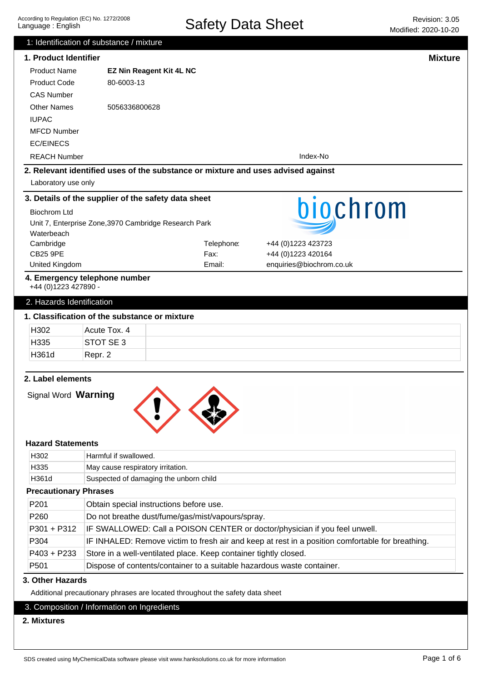|                                                                               | 1: Identification of substance / mixture                                    |                                                                                  |                                                                                                  |                |  |
|-------------------------------------------------------------------------------|-----------------------------------------------------------------------------|----------------------------------------------------------------------------------|--------------------------------------------------------------------------------------------------|----------------|--|
| 1. Product Identifier                                                         |                                                                             |                                                                                  |                                                                                                  | <b>Mixture</b> |  |
| <b>Product Name</b>                                                           | <b>EZ Nin Reagent Kit 4L NC</b>                                             |                                                                                  |                                                                                                  |                |  |
| <b>Product Code</b>                                                           | 80-6003-13                                                                  |                                                                                  |                                                                                                  |                |  |
| <b>CAS Number</b>                                                             |                                                                             |                                                                                  |                                                                                                  |                |  |
| <b>Other Names</b>                                                            | 5056336800628                                                               |                                                                                  |                                                                                                  |                |  |
| <b>IUPAC</b>                                                                  |                                                                             |                                                                                  |                                                                                                  |                |  |
| <b>MFCD Number</b>                                                            |                                                                             |                                                                                  |                                                                                                  |                |  |
| <b>EC/EINECS</b>                                                              |                                                                             |                                                                                  |                                                                                                  |                |  |
| <b>REACH Number</b>                                                           |                                                                             |                                                                                  | Index-No                                                                                         |                |  |
|                                                                               |                                                                             | 2. Relevant identified uses of the substance or mixture and uses advised against |                                                                                                  |                |  |
| Laboratory use only                                                           |                                                                             |                                                                                  |                                                                                                  |                |  |
|                                                                               | 3. Details of the supplier of the safety data sheet                         |                                                                                  |                                                                                                  |                |  |
| <b>Biochrom Ltd</b>                                                           |                                                                             |                                                                                  | biochrom                                                                                         |                |  |
|                                                                               | Unit 7, Enterprise Zone, 3970 Cambridge Research Park                       |                                                                                  |                                                                                                  |                |  |
| Waterbeach                                                                    |                                                                             |                                                                                  |                                                                                                  |                |  |
| Cambridge                                                                     |                                                                             | Telephone:                                                                       | +44 (0)1223 423723                                                                               |                |  |
| <b>CB25 9PE</b>                                                               |                                                                             | Fax:                                                                             | +44 (0)1223 420164                                                                               |                |  |
| United Kingdom                                                                |                                                                             | Email:                                                                           | enquiries@biochrom.co.uk                                                                         |                |  |
| +44 (0)1223 427890 -                                                          | 4. Emergency telephone number                                               |                                                                                  |                                                                                                  |                |  |
| 2. Hazards Identification                                                     |                                                                             |                                                                                  |                                                                                                  |                |  |
|                                                                               | 1. Classification of the substance or mixture                               |                                                                                  |                                                                                                  |                |  |
| H302                                                                          | Acute Tox. 4                                                                |                                                                                  |                                                                                                  |                |  |
| H335                                                                          | STOT SE <sub>3</sub>                                                        |                                                                                  |                                                                                                  |                |  |
| H361d                                                                         | Repr. 2                                                                     |                                                                                  |                                                                                                  |                |  |
|                                                                               |                                                                             |                                                                                  |                                                                                                  |                |  |
| 2. Label elements                                                             |                                                                             |                                                                                  |                                                                                                  |                |  |
| Signal Word Warning                                                           |                                                                             |                                                                                  |                                                                                                  |                |  |
| <b>Hazard Statements</b>                                                      |                                                                             |                                                                                  |                                                                                                  |                |  |
| H <sub>302</sub>                                                              | Harmful if swallowed.                                                       |                                                                                  |                                                                                                  |                |  |
| H335<br>H361d                                                                 | May cause respiratory irritation.<br>Suspected of damaging the unborn child |                                                                                  |                                                                                                  |                |  |
| <b>Precautionary Phrases</b>                                                  |                                                                             |                                                                                  |                                                                                                  |                |  |
|                                                                               |                                                                             |                                                                                  |                                                                                                  |                |  |
| P201                                                                          |                                                                             | Obtain special instructions before use.                                          |                                                                                                  |                |  |
| P <sub>260</sub>                                                              |                                                                             | Do not breathe dust/fume/gas/mist/vapours/spray.                                 |                                                                                                  |                |  |
| $P301 + P312$                                                                 |                                                                             |                                                                                  | IF SWALLOWED: Call a POISON CENTER or doctor/physician if you feel unwell.                       |                |  |
| P304                                                                          |                                                                             |                                                                                  | IF INHALED: Remove victim to fresh air and keep at rest in a position comfortable for breathing. |                |  |
| $P403 + P233$                                                                 |                                                                             | Store in a well-ventilated place. Keep container tightly closed.                 |                                                                                                  |                |  |
| P <sub>501</sub>                                                              |                                                                             | Dispose of contents/container to a suitable hazardous waste container.           |                                                                                                  |                |  |
| 3. Other Hazards                                                              |                                                                             |                                                                                  |                                                                                                  |                |  |
| Additional precautionary phrases are located throughout the safety data sheet |                                                                             |                                                                                  |                                                                                                  |                |  |
| 3. Composition / Information on Ingredients                                   |                                                                             |                                                                                  |                                                                                                  |                |  |
| 2. Mixtures                                                                   |                                                                             |                                                                                  |                                                                                                  |                |  |
|                                                                               |                                                                             |                                                                                  |                                                                                                  |                |  |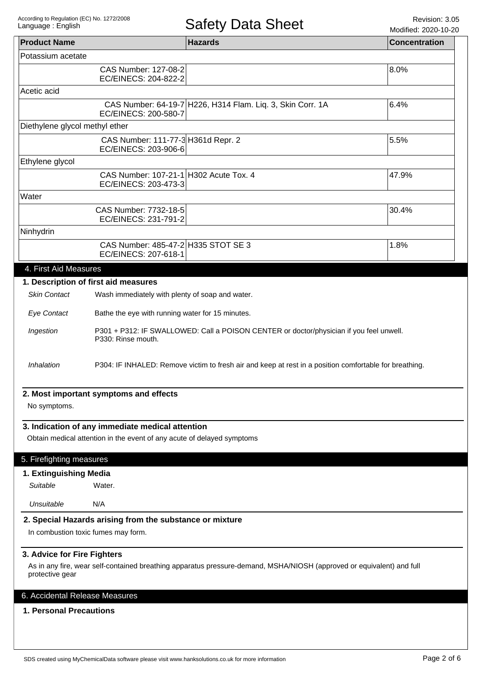$Modif$ 

|                                                |                                                                                                               | $\sim$                                                                                                                | Modified: 2020-10-20 |
|------------------------------------------------|---------------------------------------------------------------------------------------------------------------|-----------------------------------------------------------------------------------------------------------------------|----------------------|
| <b>Product Name</b>                            |                                                                                                               | <b>Hazards</b>                                                                                                        | <b>Concentration</b> |
| Potassium acetate                              |                                                                                                               |                                                                                                                       |                      |
|                                                | CAS Number: 127-08-2<br>EC/EINECS: 204-822-2                                                                  |                                                                                                                       | 8.0%                 |
| Acetic acid                                    |                                                                                                               |                                                                                                                       |                      |
|                                                | EC/EINECS: 200-580-7                                                                                          | CAS Number: 64-19-7 H226, H314 Flam. Liq. 3, Skin Corr. 1A                                                            | 6.4%                 |
| Diethylene glycol methyl ether                 |                                                                                                               |                                                                                                                       |                      |
|                                                | CAS Number: 111-77-3 H361d Repr. 2<br>EC/EINECS: 203-906-6                                                    |                                                                                                                       | 5.5%                 |
| Ethylene glycol                                |                                                                                                               |                                                                                                                       |                      |
|                                                | CAS Number: 107-21-1 H302 Acute Tox. 4<br>EC/EINECS: 203-473-3                                                |                                                                                                                       | 47.9%                |
| Water                                          |                                                                                                               |                                                                                                                       |                      |
|                                                | CAS Number: 7732-18-5<br>EC/EINECS: 231-791-2                                                                 |                                                                                                                       | 30.4%                |
| Ninhydrin                                      |                                                                                                               |                                                                                                                       |                      |
|                                                | CAS Number: 485-47-2 H335 STOT SE 3<br>EC/EINECS: 207-618-1                                                   |                                                                                                                       | 1.8%                 |
| 4. First Aid Measures                          |                                                                                                               |                                                                                                                       |                      |
|                                                | 1. Description of first aid measures                                                                          |                                                                                                                       |                      |
| <b>Skin Contact</b>                            | Wash immediately with plenty of soap and water.                                                               |                                                                                                                       |                      |
| <b>Eye Contact</b>                             | Bathe the eye with running water for 15 minutes.                                                              |                                                                                                                       |                      |
| Ingestion                                      | P301 + P312: IF SWALLOWED: Call a POISON CENTER or doctor/physician if you feel unwell.<br>P330: Rinse mouth. |                                                                                                                       |                      |
| Inhalation                                     | P304: IF INHALED: Remove victim to fresh air and keep at rest in a position comfortable for breathing.        |                                                                                                                       |                      |
|                                                | 2. Most important symptoms and effects                                                                        |                                                                                                                       |                      |
| No symptoms.                                   |                                                                                                               |                                                                                                                       |                      |
|                                                |                                                                                                               |                                                                                                                       |                      |
|                                                | 3. Indication of any immediate medical attention                                                              |                                                                                                                       |                      |
|                                                | Obtain medical attention in the event of any acute of delayed symptoms                                        |                                                                                                                       |                      |
| 5. Firefighting measures                       |                                                                                                               |                                                                                                                       |                      |
| 1. Extinguishing Media                         |                                                                                                               |                                                                                                                       |                      |
| Suitable                                       | Water.                                                                                                        |                                                                                                                       |                      |
| Unsuitable                                     | N/A                                                                                                           |                                                                                                                       |                      |
|                                                | 2. Special Hazards arising from the substance or mixture                                                      |                                                                                                                       |                      |
|                                                | In combustion toxic fumes may form.                                                                           |                                                                                                                       |                      |
| 3. Advice for Fire Fighters<br>protective gear |                                                                                                               | As in any fire, wear self-contained breathing apparatus pressure-demand, MSHA/NIOSH (approved or equivalent) and full |                      |
|                                                |                                                                                                               |                                                                                                                       |                      |
| 6. Accidental Release Measures                 |                                                                                                               |                                                                                                                       |                      |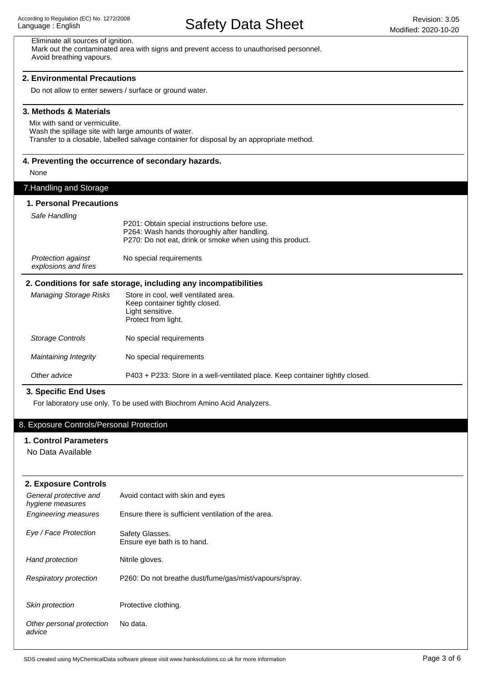## Other advice P403 + P233: Store in a well-ventilated place. Keep container tightly closed. Maintaining Integrity Storage Controls Managing Storage Risks **2. Conditions for safe storage, including any incompatibilities** Store in cool, well ventilated area. Keep container tightly closed. Light sensitive. Protect from light. No special requirements No special requirements 7.Handling and Storage **1. Personal Precautions** P201: Obtain special instructions before use. P264: Wash hands thoroughly after handling. P270: Do not eat, drink or smoke when using this product. Protection against No special requirements explosions and fires Safe Handling Eliminate all sources of ignition. Mark out the contaminated area with signs and prevent access to unauthorised personnel. Avoid breathing vapours. Do not allow to enter sewers / surface or ground water. **2. Environmental Precautions** Mix with sand or vermiculite. Wash the spillage site with large amounts of water. Transfer to a closable, labelled salvage container for disposal by an appropriate method. **3. Methods & Materials** None **4. Preventing the occurrence of secondary hazards.** For laboratory use only. To be used with Biochrom Amino Acid Analyzers. **3. Specific End Uses**

## 8. Exposure Controls/Personal Protection

#### **1. Control Parameters**

No Data Available

| 2. Exposure Controls                       |                                                        |
|--------------------------------------------|--------------------------------------------------------|
| General protective and<br>hygiene measures | Avoid contact with skin and eyes                       |
| <b>Engineering measures</b>                | Ensure there is sufficient ventilation of the area.    |
| Eye / Face Protection                      | Safety Glasses.<br>Ensure eye bath is to hand.         |
| Hand protection                            | Nitrile gloves.                                        |
| <b>Respiratory protection</b>              | P260: Do not breathe dust/fume/gas/mist/vapours/spray. |
| Skin protection                            | Protective clothing.                                   |
| Other personal protection<br>advice        | No data.                                               |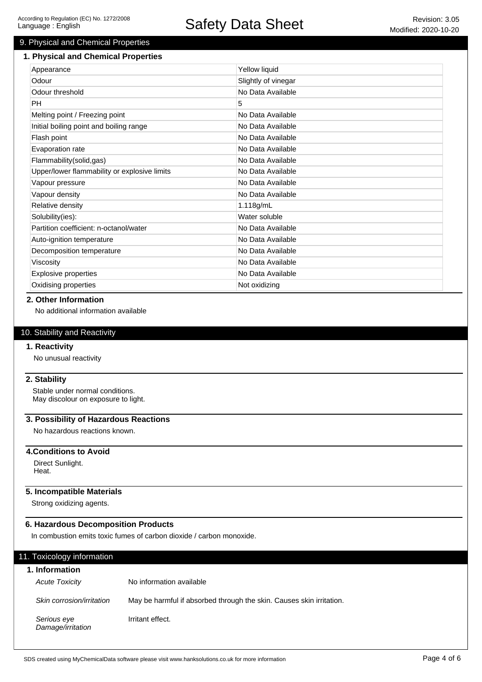## 9. Physical and Chemical Properties

#### **1. Physical and Chemical Properties**

| Appearance                                   | Yellow liquid       |
|----------------------------------------------|---------------------|
| Odour                                        | Slightly of vinegar |
| Odour threshold                              | No Data Available   |
| <b>PH</b>                                    | 5                   |
| Melting point / Freezing point               | No Data Available   |
| Initial boiling point and boiling range      | No Data Available   |
| Flash point                                  | No Data Available   |
| Evaporation rate                             | No Data Available   |
| Flammability(solid,gas)                      | No Data Available   |
| Upper/lower flammability or explosive limits | No Data Available   |
| Vapour pressure                              | No Data Available   |
| Vapour density                               | No Data Available   |
| Relative density                             | 1.118g/mL           |
| Solubility(ies):                             | Water soluble       |
| Partition coefficient: n-octanol/water       | No Data Available   |
| Auto-ignition temperature                    | No Data Available   |
| Decomposition temperature                    | No Data Available   |
| Viscosity                                    | No Data Available   |
| <b>Explosive properties</b>                  | No Data Available   |
| Oxidising properties                         | Not oxidizing       |

#### **2. Other Information**

No additional information available

#### 10. Stability and Reactivity

#### **1. Reactivity**

No unusual reactivity

#### **2. Stability**

Stable under normal conditions. May discolour on exposure to light.

## **3. Possibility of Hazardous Reactions**

No hazardous reactions known.

## **4.Conditions to Avoid**

Direct Sunlight. Heat.

#### **5. Incompatible Materials**

Strong oxidizing agents.

## **6. Hazardous Decomposition Products**

In combustion emits toxic fumes of carbon dioxide / carbon monoxide.

| 11. Toxicology information       |                                                                      |
|----------------------------------|----------------------------------------------------------------------|
| 1. Information                   |                                                                      |
| <b>Acute Toxicity</b>            | No information available                                             |
| Skin corrosion/irritation        | May be harmful if absorbed through the skin. Causes skin irritation. |
| Serious eye<br>Damage/irritation | Irritant effect.                                                     |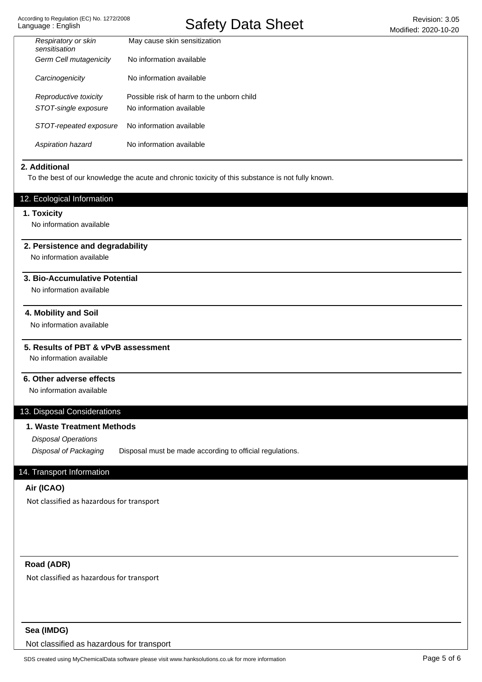| Respiratory or skin<br>sensitisation | May cause skin sensitization              |
|--------------------------------------|-------------------------------------------|
| Germ Cell mutagenicity               | No information available                  |
| Carcinogenicity                      | No information available                  |
| Reproductive toxicity                | Possible risk of harm to the unborn child |
| STOT-single exposure                 | No information available                  |
| STOT-repeated exposure               | No information available                  |
| Aspiration hazard                    | No information available                  |

#### **2. Additional**

To the best of our knowledge the acute and chronic toxicity of this substance is not fully known.

## 12. Ecological Information

#### **1. Toxicity**

No information available

#### **2. Persistence and degradability**

No information available

#### **3. Bio-Accumulative Potential**

No information available

#### **4. Mobility and Soil**

No information available

## **5. Results of PBT & vPvB assessment**

No information available

#### **6. Other adverse effects**

No information available

#### 13. Disposal Considerations

## **1. Waste Treatment Methods**

Disposal Operations

Disposal of Packaging Disposal must be made according to official regulations.

## 14. Transport Information

#### **Air (ICAO)**

Not classified as hazardous for transport

## **Road (ADR)**

Not classified as hazardous for transport

## **Sea (IMDG)**

Not classified as hazardous for transport